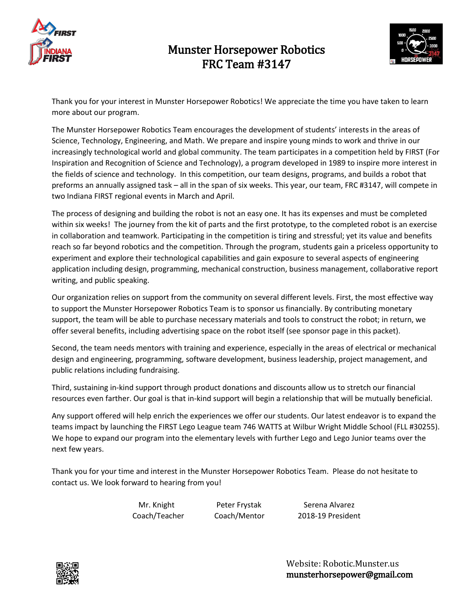



Thank you for your interest in Munster Horsepower Robotics! We appreciate the time you have taken to learn more about our program.

The Munster Horsepower Robotics Team encourages the development of students' interests in the areas of Science, Technology, Engineering, and Math. We prepare and inspire young minds to work and thrive in our increasingly technological world and global community. The team participates in a competition held by FIRST (For Inspiration and Recognition of Science and Technology), a program developed in 1989 to inspire more interest in the fields of science and technology. In this competition, our team designs, programs, and builds a robot that preforms an annually assigned task – all in the span of six weeks. This year, our team, FRC #3147, will compete in two Indiana FIRST regional events in March and April.

The process of designing and building the robot is not an easy one. It has its expenses and must be completed within six weeks! The journey from the kit of parts and the first prototype, to the completed robot is an exercise in collaboration and teamwork. Participating in the competition is tiring and stressful; yet its value and benefits reach so far beyond robotics and the competition. Through the program, students gain a priceless opportunity to experiment and explore their technological capabilities and gain exposure to several aspects of engineering application including design, programming, mechanical construction, business management, collaborative report writing, and public speaking.

Our organization relies on support from the community on several different levels. First, the most effective way to support the Munster Horsepower Robotics Team is to sponsor us financially. By contributing monetary support, the team will be able to purchase necessary materials and tools to construct the robot; in return, we offer several benefits, including advertising space on the robot itself (see sponsor page in this packet).

Second, the team needs mentors with training and experience, especially in the areas of electrical or mechanical design and engineering, programming, software development, business leadership, project management, and public relations including fundraising.

Third, sustaining in-kind support through product donations and discounts allow us to stretch our financial resources even farther. Our goal is that in-kind support will begin a relationship that will be mutually beneficial.

Any support offered will help enrich the experiences we offer our students. Our latest endeavor is to expand the teams impact by launching the FIRST Lego League team 746 WATTS at Wilbur Wright Middle School (FLL #30255). We hope to expand our program into the elementary levels with further Lego and Lego Junior teams over the next few years.

Thank you for your time and interest in the Munster Horsepower Robotics Team. Please do not hesitate to contact us. We look forward to hearing from you!

Mr. Knight Peter Frystak Serena Alvarez Coach/Teacher Coach/Mentor 2018-19 President

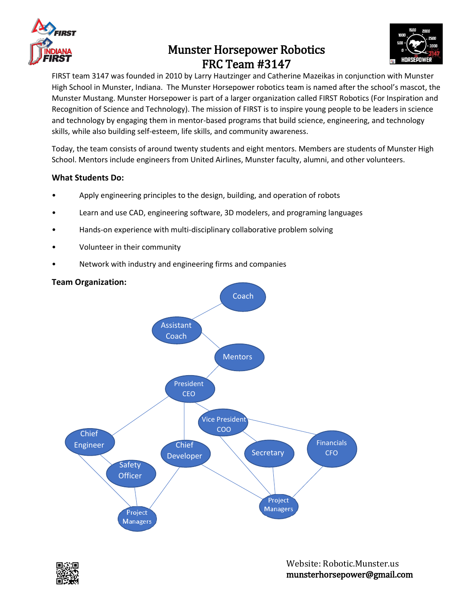



FIRST team 3147 was founded in 2010 by Larry Hautzinger and Catherine Mazeikas in conjunction with Munster High School in Munster, Indiana. The Munster Horsepower robotics team is named after the school's mascot, the Munster Mustang. Munster Horsepower is part of a larger organization called FIRST Robotics (For Inspiration and Recognition of Science and Technology). The mission of FIRST is to inspire young people to be leaders in science and technology by engaging them in mentor-based programs that build science, engineering, and technology skills, while also building self-esteem, life skills, and community awareness.

Today, the team consists of around twenty students and eight mentors. Members are students of Munster High School. Mentors include engineers from United Airlines, Munster faculty, alumni, and other volunteers.

### **What Students Do:**

- Apply engineering principles to the design, building, and operation of robots
- Learn and use CAD, engineering software, 3D modelers, and programing languages
- Hands-on experience with multi-disciplinary collaborative problem solving
- Volunteer in their community
- Network with industry and engineering firms and companies

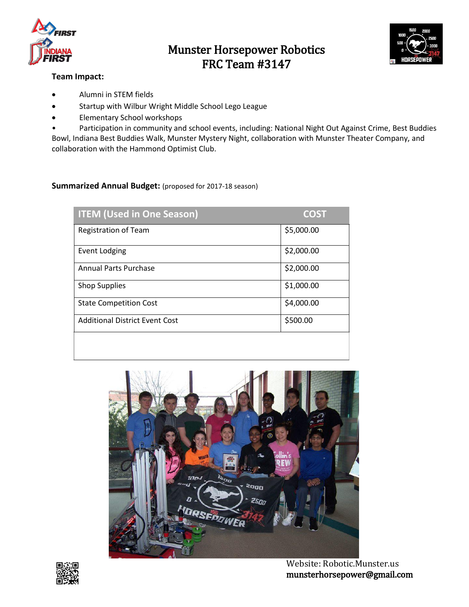



### **Team Impact:**

- Alumni in STEM fields
- Startup with Wilbur Wright Middle School Lego League
- Elementary School workshops

Participation in community and school events, including: National Night Out Against Crime, Best Buddies Bowl, Indiana Best Buddies Walk, Munster Mystery Night, collaboration with Munster Theater Company, and collaboration with the Hammond Optimist Club.

### **Summarized Annual Budget:** (proposed for 2017-18 season)

| <b>ITEM (Used in One Season)</b>      | <b>COST</b> |
|---------------------------------------|-------------|
| Registration of Team                  | \$5,000.00  |
| <b>Event Lodging</b>                  | \$2,000.00  |
| <b>Annual Parts Purchase</b>          | \$2,000.00  |
| <b>Shop Supplies</b>                  | \$1,000.00  |
| <b>State Competition Cost</b>         | \$4,000.00  |
| <b>Additional District Event Cost</b> | \$500.00    |
|                                       |             |





 Website: Robotic.Munster.us munsterhorsepower@gmail.com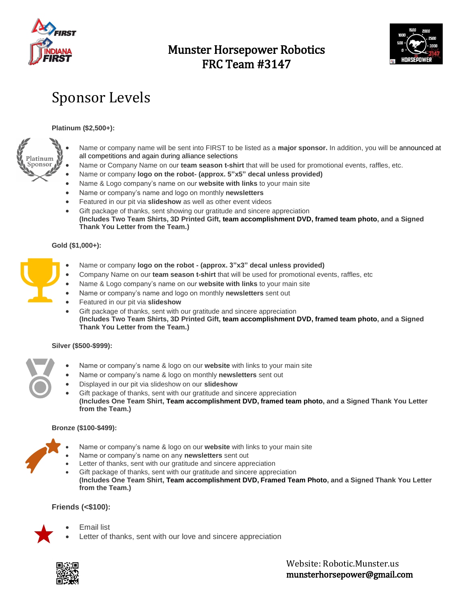



# Sponsor Levels

### **Platinum (\$2,500+):**



- Name or company name will be sent into FIRST to be listed as a **major sponsor.** In addition, you will be announced at all competitions and again during alliance selections
- Name or Company Name on our **team season t-shirt** that will be used for promotional events, raffles, etc.
- Name or company **logo on the robot- (approx. 5"x5" decal unless provided)**
- Name & Logo company's name on our **website with links** to your main site
- Name or company's name and logo on monthly **newsletters**
- Featured in our pit via **slideshow** as well as other event videos
- Gift package of thanks, sent showing our gratitude and sincere appreciation **(Includes Two Team Shirts, 3D Printed Gift, team accomplishment DVD, framed team photo, and a Signed Thank You Letter from the Team.)**

### **Gold (\$1,000+):**

- Name or company **logo on the robot - (approx. 3"x3" decal unless provided)**
- Company Name on our **team season t-shirt** that will be used for promotional events, raffles, etc
- Name & Logo company's name on our **website with links** to your main site
- Name or company's name and logo on monthly **newsletters** sent out
- Featured in our pit via **slideshow**
- Gift package of thanks, sent with our gratitude and sincere appreciation **(Includes Two Team Shirts, 3D Printed Gift, team accomplishment DVD, framed team photo, and a Signed Thank You Letter from the Team.)**

### **Silver (\$500-\$999):**

- Name or company's name & logo on our **website** with links to your main site
- Name or company's name & logo on monthly **newsletters** sent out
- Displayed in our pit via slideshow on our **slideshow**
- Gift package of thanks, sent with our gratitude and sincere appreciation **(Includes One Team Shirt, Team accomplishment DVD, framed team photo, and a Signed Thank You Letter from the Team.)**

### **Bronze (\$100-\$499):**



- Name or company's name & logo on our **website** with links to your main site
- Name or company's name on any **newsletters** sent out
- Letter of thanks, sent with our gratitude and sincere appreciation
- Gift package of thanks, sent with our gratitude and sincere appreciation **(Includes One Team Shirt, Team accomplishment DVD, Framed Team Photo, and a Signed Thank You Letter from the Team.)**

### **Friends (<\$100):**



- Email list
- Letter of thanks, sent with our love and sincere appreciation